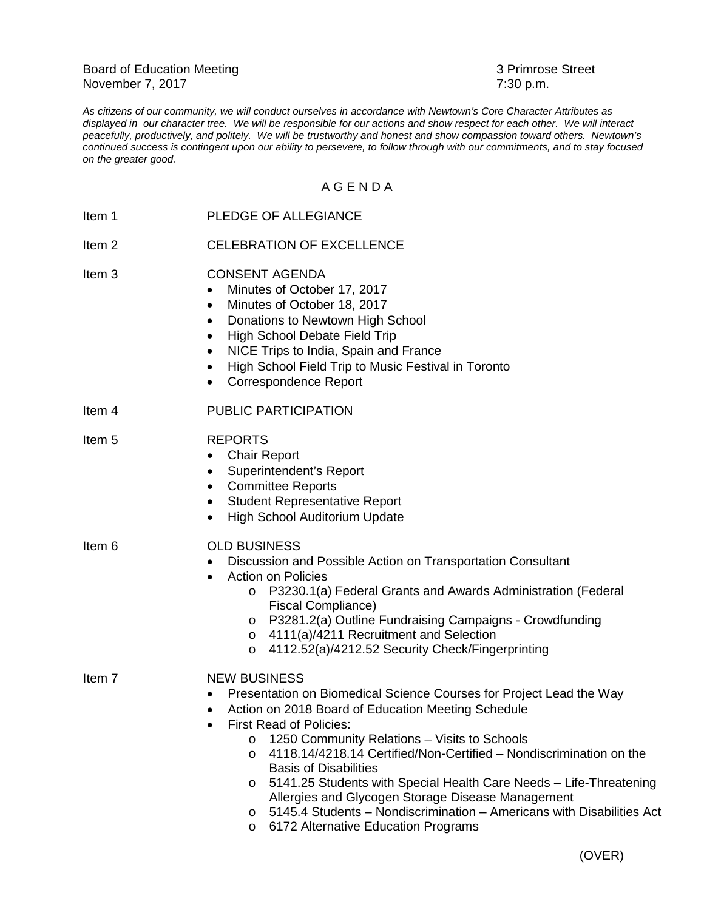Board of Education Meeting<br>
November 7, 2017<br>
3 Primrose Street<br>
3 Primrose Street<br>
3 Primrose Street November 7, 2017

*As citizens of our community, we will conduct ourselves in accordance with Newtown's Core Character Attributes as displayed in our character tree. We will be responsible for our actions and show respect for each other. We will interact peacefully, productively, and politely. We will be trustworthy and honest and show compassion toward others. Newtown's continued success is contingent upon our ability to persevere, to follow through with our commitments, and to stay focused on the greater good.*

## A G E N D A

| Item 1            | PLEDGE OF ALLEGIANCE                                                                                                                                                                                                                                                                                                                                                                                                                                                                                                                                                                                                                |
|-------------------|-------------------------------------------------------------------------------------------------------------------------------------------------------------------------------------------------------------------------------------------------------------------------------------------------------------------------------------------------------------------------------------------------------------------------------------------------------------------------------------------------------------------------------------------------------------------------------------------------------------------------------------|
| Item <sub>2</sub> | <b>CELEBRATION OF EXCELLENCE</b>                                                                                                                                                                                                                                                                                                                                                                                                                                                                                                                                                                                                    |
| Item <sub>3</sub> | <b>CONSENT AGENDA</b><br>Minutes of October 17, 2017<br>$\bullet$<br>Minutes of October 18, 2017<br>$\bullet$<br>Donations to Newtown High School<br>$\bullet$<br>High School Debate Field Trip<br>$\bullet$<br>NICE Trips to India, Spain and France<br>$\bullet$<br>High School Field Trip to Music Festival in Toronto<br>$\bullet$<br><b>Correspondence Report</b><br>$\bullet$                                                                                                                                                                                                                                                 |
| Item 4            | <b>PUBLIC PARTICIPATION</b>                                                                                                                                                                                                                                                                                                                                                                                                                                                                                                                                                                                                         |
| Item <sub>5</sub> | <b>REPORTS</b><br><b>Chair Report</b><br>٠<br>Superintendent's Report<br>$\bullet$<br><b>Committee Reports</b><br>$\bullet$<br><b>Student Representative Report</b><br>$\bullet$<br>High School Auditorium Update<br>$\bullet$                                                                                                                                                                                                                                                                                                                                                                                                      |
| Item 6            | <b>OLD BUSINESS</b><br>Discussion and Possible Action on Transportation Consultant<br>$\bullet$<br><b>Action on Policies</b><br>P3230.1(a) Federal Grants and Awards Administration (Federal<br>$\circ$<br>Fiscal Compliance)<br>o P3281.2(a) Outline Fundraising Campaigns - Crowdfunding<br>4111(a)/4211 Recruitment and Selection<br>$\circ$<br>4112.52(a)/4212.52 Security Check/Fingerprinting<br>$\circ$                                                                                                                                                                                                                      |
| Item 7            | <b>NEW BUSINESS</b><br>Presentation on Biomedical Science Courses for Project Lead the Way<br>Action on 2018 Board of Education Meeting Schedule<br>First Read of Policies:<br>1250 Community Relations - Visits to Schools<br>$\circ$<br>4118.14/4218.14 Certified/Non-Certified - Nondiscrimination on the<br>$\circ$<br><b>Basis of Disabilities</b><br>5141.25 Students with Special Health Care Needs - Life-Threatening<br>$\circ$<br>Allergies and Glycogen Storage Disease Management<br>5145.4 Students - Nondiscrimination - Americans with Disabilities Act<br>$\circ$<br>6172 Alternative Education Programs<br>$\circ$ |